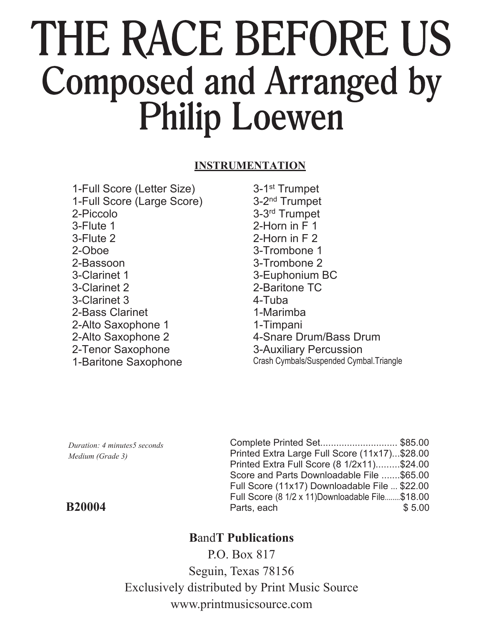# THE RACE BEFORE US **Composed and Arranged by Philip Loewen**

## **INSTRUMENTATION**

- 1-Full Score (Letter Size) 1-Full Score (Large Score) 2-Piccolo 3-Flute 1 3-Flute 2 2-Oboe 2-Bassoon 3-Clarinet 1 3-Clarinet 2 3-Clarinet 3 2-Bass Clarinet 2-Alto Saxophone 1 2-Alto Saxophone 2 2-Tenor Saxophone 1-Baritone Saxophone
- 3-1st Trumpet 3-2nd Trumpet 3-3rd Trumpet 2-Horn in F 1 2-Horn in F 2 3-Trombone 1 3-Trombone 2 3-Euphonium BC 2-Baritone TC 4-Tuba 1-Marimba 1-Timpani 4-Snare Drum/Bass Drum 3-Auxiliary Percussion Crash Cymbals/Suspended Cymbal.Triangle

*Duration: 4 minutes5 seconds Medium (Grade 3)*

 Complete Printed Set............................. \$85.00 Printed Extra Large Full Score (11x17)...\$28.00 Printed Extra Full Score (8 1/2x11).........\$24.00 Score and Parts Downloadable File .......\$65.00 Full Score (11x17) Downloadable File ... \$22.00 Full Score (8 1/2 x 11)Downloadable File........\$18.00 Parts, each  $\$ 5.00$ 

# **B**and**T Publications**

P.O. Box 817 Seguin, Texas 78156 Exclusively distributed by Print Music Source www.printmusicsource.com

### **B20004**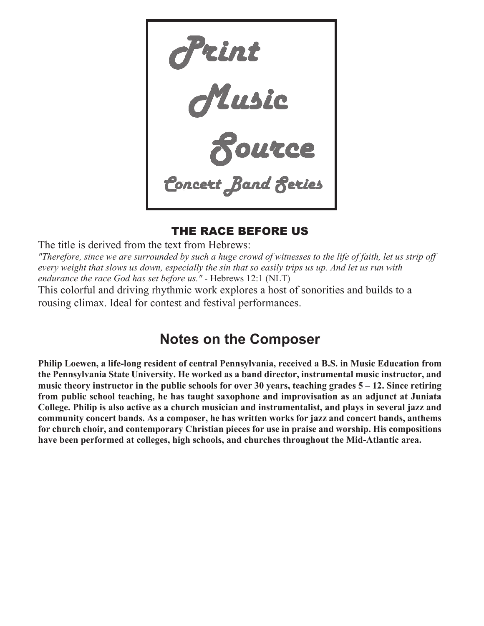

# THE RACE BEFORE US

The title is derived from the text from Hebrews:

*"Therefore, since we are surrounded by such a huge crowd of witnesses to the life of faith, let us strip off every weight that slows us down, especially the sin that so easily trips us up. And let us run with endurance the race God has set before us." -* Hebrews 12:1 (NLT)

This colorful and driving rhythmic work explores a host of sonorities and builds to a rousing climax. Ideal for contest and festival performances.

# **Notes on the Composer**

**Philip Loewen, a life-long resident of central Pennsylvania, received a B.S. in Music Education from the Pennsylvania State University. He worked as a band director, instrumental music instructor, and music theory instructor in the public schools for over 30 years, teaching grades 5 – 12. Since retiring from public school teaching, he has taught saxophone and improvisation as an adjunct at Juniata College. Philip is also active as a church musician and instrumentalist, and plays in several jazz and community concert bands. As a composer, he has written works for jazz and concert bands, anthems for church choir, and contemporary Christian pieces for use in praise and worship. His compositions have been performed at colleges, high schools, and churches throughout the Mid-Atlantic area.**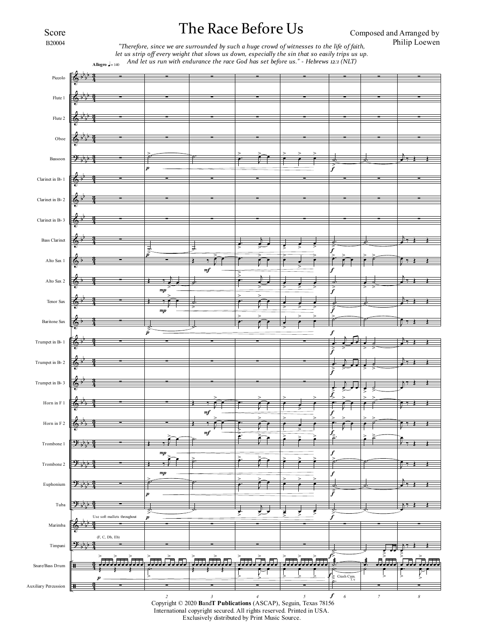Score B20004

# The Race Before Us Composed and Arranged by

Philip Loewen

**Allegro** *"Therefore, since we are surrounded by such a huge crowd of witnesses to the life of faith, let us strip off every weight that slows us down, especially the sin that so easily trips us up. And let us run with endurance the race God has set before us." - Hebrews 12:1 (NLT)*



Exclusively distributed by Print Music Source.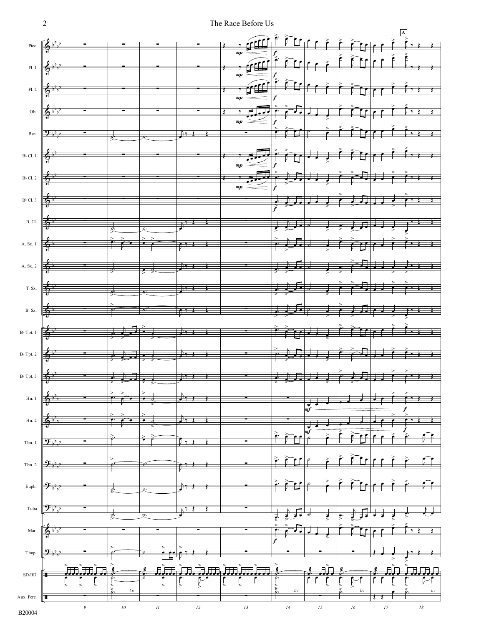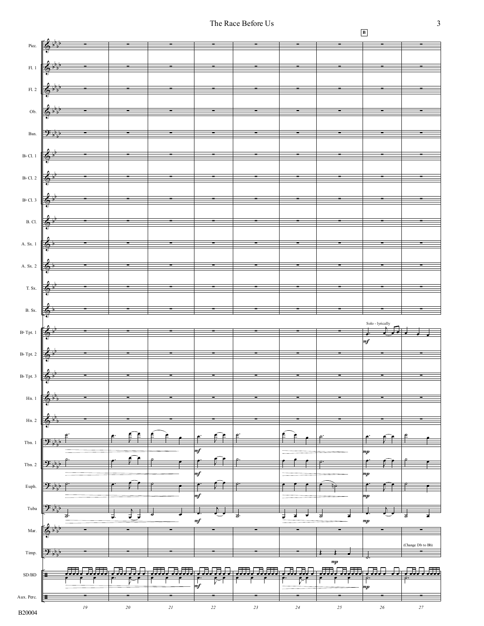

B20004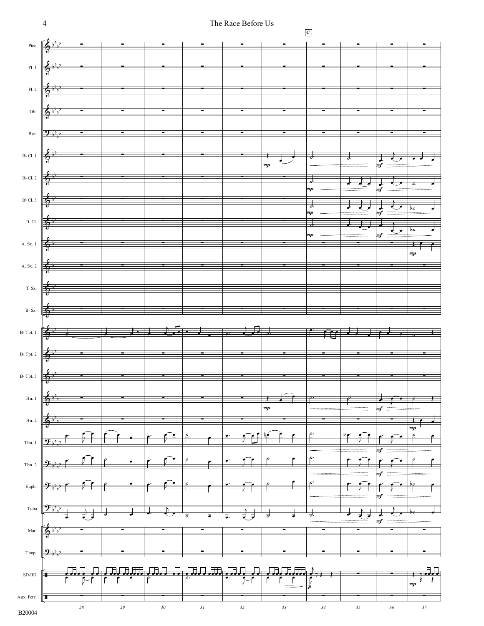

The Race Before Us

B20004

*28*

*29*

*30*

*31*

*32*

*33*

*34*

*35*

*36*

*37*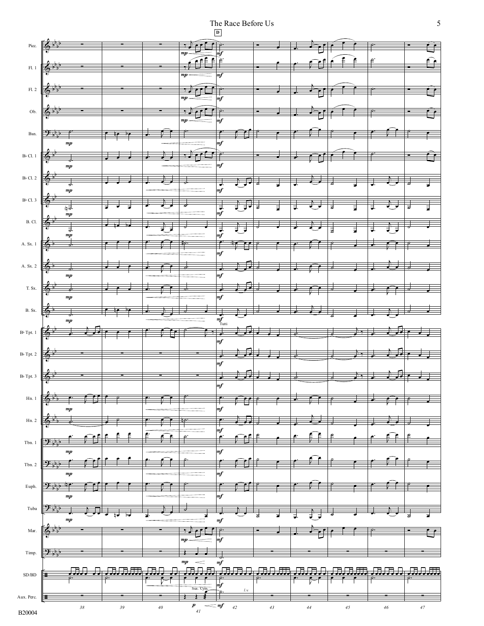| Picc.                            |                                                     |        |                                   |                          |                | mp                                                        |                                                                 |                                                         |   |                          |   |             |              |                           |                         |                          |        |                          |
|----------------------------------|-----------------------------------------------------|--------|-----------------------------------|--------------------------|----------------|-----------------------------------------------------------|-----------------------------------------------------------------|---------------------------------------------------------|---|--------------------------|---|-------------|--------------|---------------------------|-------------------------|--------------------------|--------|--------------------------|
|                                  |                                                     |        |                                   |                          |                | <u>eff</u> f                                              |                                                                 |                                                         |   |                          |   |             | $\epsilon$ f |                           |                         |                          |        |                          |
| F1.1                             |                                                     |        |                                   |                          |                |                                                           |                                                                 |                                                         |   |                          |   |             |              |                           |                         |                          |        | ÊÊ                       |
|                                  |                                                     |        |                                   |                          |                | $\mathfrak{m}p$                                           |                                                                 |                                                         |   |                          |   |             |              |                           |                         |                          |        |                          |
|                                  |                                                     |        |                                   |                          |                |                                                           |                                                                 |                                                         |   |                          |   |             |              |                           |                         |                          |        |                          |
| $\rm Fl.$ 2                      |                                                     |        |                                   |                          |                |                                                           |                                                                 |                                                         |   |                          |   |             |              | ≄                         | $\mathsf{P}$            |                          |        | $\widehat{\mathbf{C}}$   |
|                                  |                                                     |        |                                   |                          |                |                                                           | $m\bm{f}$                                                       |                                                         |   |                          |   |             |              |                           |                         |                          |        |                          |
| Ob.                              | $6$ <sup><math>\frac{1}{2}</math></sup>             |        |                                   |                          |                | $\overrightarrow{H}$                                      |                                                                 |                                                         |   |                          |   |             |              |                           | $\int_{0}^{\infty}$     |                          |        | $\widehat{G}$            |
|                                  |                                                     |        |                                   |                          |                | mp                                                        |                                                                 |                                                         |   |                          |   |             |              |                           |                         |                          |        |                          |
|                                  |                                                     |        |                                   |                          |                |                                                           |                                                                 |                                                         |   |                          |   |             |              |                           |                         |                          |        |                          |
| Bsn.                             |                                                     |        |                                   | $\overline{\phantom{a}}$ |                |                                                           |                                                                 |                                                         |   |                          |   |             |              |                           |                         |                          |        |                          |
|                                  | $\it mp$                                            |        |                                   |                          |                |                                                           |                                                                 |                                                         |   |                          |   |             |              |                           |                         |                          |        |                          |
| $\rm B\ensuremath{\flat}$ Cl. 1  |                                                     |        |                                   |                          |                | <u>stede</u>                                              |                                                                 |                                                         |   |                          |   |             |              |                           | 痒                       |                          |        |                          |
|                                  | $\frac{2}{3}$                                       |        |                                   |                          |                |                                                           |                                                                 |                                                         |   | $\overline{\phantom{a}}$ | ⇉ | ŦĪ          |              |                           |                         |                          | ⊨      | $\hat{\mathbf{C}}$       |
|                                  | $_{\it mp}$                                         |        |                                   |                          |                |                                                           |                                                                 |                                                         |   |                          |   |             |              |                           |                         |                          |        |                          |
| $B \triangleright C1.2$          |                                                     |        |                                   |                          |                |                                                           |                                                                 |                                                         |   |                          |   |             |              |                           |                         | $\frac{1}{\sqrt{2}}$     |        |                          |
|                                  |                                                     |        |                                   |                          |                |                                                           | $\overline{\overline{}}$                                        | र, व                                                    |   |                          |   |             |              | ₹                         |                         |                          |        | $\overline{\phantom{a}}$ |
|                                  | $\it mp$                                            |        |                                   |                          |                |                                                           | $m\!f$                                                          |                                                         |   |                          |   |             |              |                           |                         |                          |        |                          |
| $\rm B\ensuremath{\flat}$ Cl. 3  |                                                     |        |                                   |                          | $\overline{U}$ | $\frac{1}{\cdot}$                                         |                                                                 | $\frac{1}{2}$ $\frac{1}{2}$ $\frac{1}{2}$ $\frac{1}{2}$ |   |                          |   |             |              | ₹                         | $\overline{\downarrow}$ | ₹₹                       | ₹      | ₹                        |
|                                  | $\begin{array}{ c c }\n\hline\n\end{array}$         |        |                                   |                          |                |                                                           |                                                                 |                                                         |   |                          |   |             | ₹            |                           |                         |                          |        |                          |
|                                  |                                                     |        | $\pm$                             |                          |                |                                                           |                                                                 |                                                         |   |                          |   |             |              |                           |                         |                          |        |                          |
|                                  | B. Cl. $\frac{p}{\sqrt{p}}$ b $\frac{mp}{\sqrt{p}}$ |        |                                   |                          | रे रे          | $\overline{\phantom{0}}$                                  | $\begin{array}{c c}\n\hline\n\vdots \\ \hline\nmf\n\end{array}$ | $\overline{\frac{1}{2}}$                                |   |                          |   |             | ₹            | $\overline{\sharp}$       |                         | $\frac{1}{2}$            |        |                          |
|                                  | $\mathbf{m}$                                        |        |                                   |                          |                |                                                           |                                                                 |                                                         |   |                          |   |             |              |                           |                         |                          |        |                          |
| A. Sx. $\boldsymbol{1}$          | 牵                                                   |        |                                   |                          |                | $\frac{\text{#} \cdot \text{#}}{\text{#} \cdot \text{#}}$ | $\dot{\mathbf{\Psi}}$                                           | $\mathbf{r}$                                            |   |                          |   |             |              |                           | ∙.                      |                          |        |                          |
|                                  |                                                     |        |                                   |                          |                |                                                           | $\frac{1}{m} f$                                                 |                                                         |   |                          |   |             |              |                           |                         |                          |        |                          |
| A. Sx. $2$                       |                                                     |        |                                   |                          |                |                                                           |                                                                 |                                                         |   |                          |   |             |              |                           |                         | $\Rightarrow$            |        |                          |
|                                  | 停                                                   |        |                                   |                          |                |                                                           | $ _{\textit{mf}}$                                               |                                                         |   |                          |   |             |              |                           |                         |                          |        |                          |
|                                  | $\it mp$                                            |        |                                   |                          |                |                                                           |                                                                 |                                                         |   |                          |   |             |              |                           |                         |                          |        |                          |
| $\mathop{\text{\rm T.}}$ Sx.     | $\frac{2}{\frac{1}{2}}$                             |        |                                   | $\overline{\cdot}$       | Ì              | $\overline{\phantom{a}}$                                  |                                                                 | $7 - 7$                                                 |   |                          |   | ۴           |              |                           |                         | $\widehat{\mathbf{f}}$   |        |                          |
|                                  | $\it mp$                                            |        |                                   |                          |                |                                                           | mf                                                              |                                                         |   |                          |   |             |              |                           |                         |                          |        |                          |
| $\, {\bf B.}$ Sx.                | $\frac{2}{9}$                                       |        | $\sim$<br>$\overline{\mathbf{P}}$ |                          |                | $\overline{\phantom{a}}$                                  |                                                                 |                                                         |   |                          |   |             |              |                           |                         |                          |        |                          |
|                                  |                                                     |        |                                   |                          |                |                                                           | $\frac{1}{\sqrt{m}}$                                            |                                                         |   |                          |   |             |              |                           |                         |                          |        |                          |
|                                  | $\it mp$                                            |        |                                   |                          |                |                                                           | Tutti                                                           |                                                         |   |                          |   |             |              |                           |                         |                          |        |                          |
| $\rm B\!\!\flat$ Tpt. $1$        | 唪                                                   |        |                                   | Ľ                        | $\overline{C}$ | $\int$ $\frac{1}{2}$ $\frac{1}{2}$                        |                                                                 | $\overline{\phantom{a}}$                                |   |                          |   |             |              |                           |                         | $\overline{\mathcal{A}}$ |        |                          |
|                                  |                                                     |        |                                   |                          |                |                                                           | m f                                                             |                                                         |   |                          |   |             |              |                           |                         |                          |        |                          |
| $\rm B\ensuremath{\circ}$ Tpt. 2 | 臺                                                   |        |                                   |                          |                | <u>.</u>                                                  |                                                                 | $\sum$                                                  |   |                          |   |             |              | ी क्                      |                         | ₹                        |        |                          |
|                                  |                                                     |        |                                   |                          |                |                                                           | m f                                                             |                                                         |   |                          |   |             |              |                           |                         |                          |        |                          |
|                                  |                                                     |        |                                   |                          |                |                                                           |                                                                 |                                                         |   |                          |   |             |              |                           |                         |                          |        |                          |
| $\rm B\ensuremath{\circ}$ Tpt. 3 |                                                     |        |                                   |                          |                |                                                           |                                                                 | €                                                       |   |                          |   |             |              | $\mathbb{D}$ $\mathbb{Z}$ |                         |                          | عواقي  |                          |
|                                  |                                                     |        |                                   |                          |                |                                                           | m f                                                             |                                                         |   |                          |   |             |              |                           |                         |                          |        |                          |
| Hn.1                             |                                                     |        |                                   |                          |                |                                                           |                                                                 |                                                         |   |                          |   |             |              |                           |                         |                          |        |                          |
|                                  |                                                     |        |                                   |                          |                |                                                           | m f                                                             |                                                         |   |                          |   |             |              |                           |                         |                          |        |                          |
|                                  | mp                                                  |        |                                   |                          |                |                                                           |                                                                 |                                                         |   |                          |   |             |              |                           |                         |                          |        |                          |
| Hn. 2                            |                                                     |        |                                   |                          |                |                                                           | ₽                                                               |                                                         |   |                          |   |             |              |                           |                         |                          |        |                          |
|                                  |                                                     |        |                                   |                          |                |                                                           | $m\!f$                                                          |                                                         |   |                          |   |             |              |                           |                         |                          |        |                          |
| Tbn.1                            |                                                     |        |                                   | £                        |                | Þ,                                                        |                                                                 | rf                                                      | ₽ |                          |   |             | ⅇ            |                           |                         |                          |        |                          |
|                                  | $\mathfrak{m}p$                                     |        |                                   |                          |                |                                                           | m f                                                             |                                                         |   |                          |   |             |              |                           |                         |                          |        |                          |
|                                  |                                                     |        |                                   |                          |                |                                                           |                                                                 |                                                         |   |                          |   |             |              |                           |                         |                          |        |                          |
| Tbn. $2$                         | $2 + 25$                                            |        |                                   |                          |                |                                                           |                                                                 |                                                         |   |                          |   |             |              |                           |                         |                          |        |                          |
|                                  | $_{mp}$                                             |        |                                   |                          |                |                                                           | m f                                                             |                                                         |   |                          |   |             |              |                           |                         |                          |        |                          |
| Euph.                            | ⊕∙<br>ゾマト                                           |        |                                   |                          |                |                                                           |                                                                 | ≏                                                       |   |                          |   |             |              |                           |                         |                          |        |                          |
|                                  | $\boldsymbol{m}$                                    |        |                                   |                          |                |                                                           | m f                                                             |                                                         |   |                          |   |             |              |                           |                         |                          |        |                          |
|                                  |                                                     |        |                                   |                          |                |                                                           |                                                                 |                                                         |   |                          |   |             |              |                           |                         |                          |        |                          |
| Tuba                             |                                                     |        |                                   |                          |                |                                                           |                                                                 |                                                         |   |                          |   |             |              |                           |                         |                          |        |                          |
|                                  | $_{mp}$                                             |        |                                   |                          |                |                                                           | $\it mf$                                                        |                                                         |   |                          |   |             |              |                           |                         |                          |        |                          |
| Mar.                             |                                                     |        |                                   |                          |                | ÷                                                         | $\mathsf{f} \mid \mathsf{f}$                                    |                                                         |   |                          |   |             |              |                           |                         |                          |        | ₹                        |
|                                  |                                                     |        |                                   |                          |                | mp                                                        | $m\!f$                                                          |                                                         |   |                          |   |             |              |                           |                         |                          |        |                          |
|                                  |                                                     |        |                                   |                          |                |                                                           |                                                                 |                                                         |   |                          |   |             |              |                           |                         |                          |        |                          |
| Timp.                            | $9 +$                                               |        |                                   |                          |                |                                                           |                                                                 |                                                         |   |                          |   |             |              |                           |                         |                          |        |                          |
|                                  |                                                     |        |                                   |                          |                | $\mathfrak{m}p$<br>Ξ                                      | $\it mf$                                                        |                                                         |   |                          |   |             |              |                           |                         |                          |        |                          |
| $\mathrm{SD} / \mathrm{BD}$      | Ŧ                                                   |        | 乐乐乐                               |                          |                |                                                           | m                                                               |                                                         |   |                          |   |             |              |                           |                         |                          |        |                          |
|                                  |                                                     |        |                                   |                          |                |                                                           | $m\!f$                                                          |                                                         |   |                          |   |             |              |                           |                         |                          |        |                          |
|                                  |                                                     |        |                                   |                          |                | Sus. Cym,                                                 |                                                                 | l.v                                                     |   |                          |   |             |              |                           |                         |                          |        |                          |
| Aux. Perc.                       |                                                     |        |                                   |                          |                |                                                           |                                                                 |                                                         |   |                          |   |             |              |                           |                         |                          |        |                          |
|                                  | EШ                                                  |        |                                   |                          |                |                                                           |                                                                 |                                                         |   |                          |   |             |              |                           |                         |                          |        |                          |
| <b>B20004</b>                    |                                                     | $38\,$ | 39                                |                          | $4\sqrt{0}$    | $\boldsymbol{p}$<br>$4\,l$                                | $\sub$ mf                                                       | $42\,$                                                  |   | $4\sqrt{3}$              |   | $4\sqrt{4}$ |              | $\it 45$                  |                         | $\it 46$                 | $47\,$ |                          |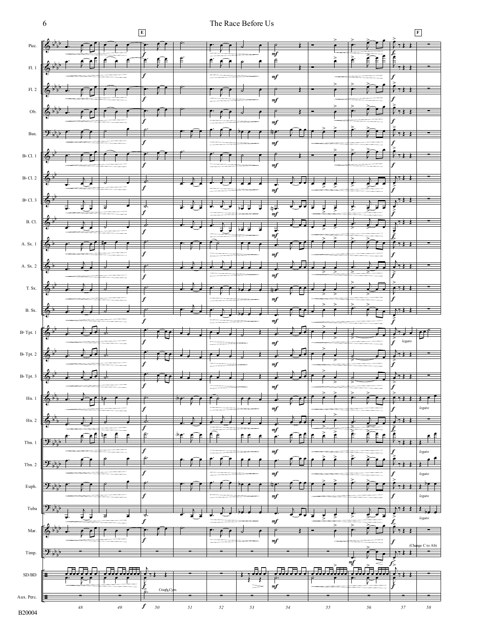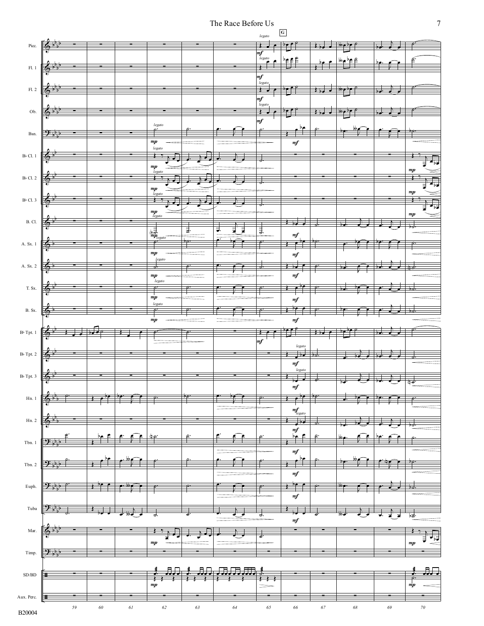|                                 |                            |       |            |            |                                                                                   |                      |        | $\mathit{legato}$                                                                                                                                                                                                                                                                                                                                                                                                                                                                                                                                                                                                         | $\overline{\mathbf{G}}$                                                                                                                                                                                                                                                                                                                             |                               |                                |                          |                                            |
|---------------------------------|----------------------------|-------|------------|------------|-----------------------------------------------------------------------------------|----------------------|--------|---------------------------------------------------------------------------------------------------------------------------------------------------------------------------------------------------------------------------------------------------------------------------------------------------------------------------------------------------------------------------------------------------------------------------------------------------------------------------------------------------------------------------------------------------------------------------------------------------------------------------|-----------------------------------------------------------------------------------------------------------------------------------------------------------------------------------------------------------------------------------------------------------------------------------------------------------------------------------------------------|-------------------------------|--------------------------------|--------------------------|--------------------------------------------|
| Picc.                           |                            |       |            |            |                                                                                   |                      |        |                                                                                                                                                                                                                                                                                                                                                                                                                                                                                                                                                                                                                           |                                                                                                                                                                                                                                                                                                                                                     | $t_{\rm rot}$                 |                                |                          |                                            |
|                                 |                            |       |            |            |                                                                                   |                      |        | $\begin{tabular}{ c c } \hline \quad \quad & \quad \quad & \quad \quad \\ \hline \quad \quad & \quad \quad & \quad \quad \\ \hline \quad \quad & \quad \quad & \quad \quad \\ \hline \quad \quad & \quad \quad & \quad \quad \\ \hline \quad \quad & \quad \quad & \quad \quad \\ \hline \quad \quad & \quad \quad & \quad \quad \\ \hline \quad \quad & \quad \quad & \quad \quad \\ \hline \quad \quad & \quad \quad & \quad \quad \\ \hline \quad \quad & \quad \quad & \quad \quad \\ \hline \quad \quad & \quad \quad & \quad \quad \\ \hline \quad \quad & \quad \quad & \quad \quad \\ \hline \quad \quad & \quad$ |                                                                                                                                                                                                                                                                                                                                                     |                               |                                |                          |                                            |
|                                 |                            |       |            |            |                                                                                   |                      |        | $\frac{legato}{\sqrt{1-\frac{1}{2}}}\$                                                                                                                                                                                                                                                                                                                                                                                                                                                                                                                                                                                    | $\begin{picture}(20,20) \put(0,0){\line(0,1){10}} \put(15,0){\line(0,1){10}} \put(15,0){\line(0,1){10}} \put(15,0){\line(0,1){10}} \put(15,0){\line(0,1){10}} \put(15,0){\line(0,1){10}} \put(15,0){\line(0,1){10}} \put(15,0){\line(0,1){10}} \put(15,0){\line(0,1){10}} \put(15,0){\line(0,1){10}} \put(15,0){\line(0,1){10}} \put(15,0){\line(0$ |                               |                                |                          |                                            |
|                                 | FL1                        |       |            |            |                                                                                   |                      |        |                                                                                                                                                                                                                                                                                                                                                                                                                                                                                                                                                                                                                           |                                                                                                                                                                                                                                                                                                                                                     |                               |                                |                          |                                            |
|                                 |                            |       |            |            |                                                                                   |                      |        | m f                                                                                                                                                                                                                                                                                                                                                                                                                                                                                                                                                                                                                       |                                                                                                                                                                                                                                                                                                                                                     |                               |                                |                          |                                            |
| F1.2                            | $\frac{1}{2}$              |       |            |            |                                                                                   |                      |        | $\frac{legato}{\sqrt{1-\frac{1}{2}}\sqrt{1-\frac{1}{2}}\sqrt{1-\frac{1}{2}}\sqrt{1-\frac{1}{2}}\sqrt{1-\frac{1}{2}}\sqrt{1-\frac{1}{2}}\sqrt{1-\frac{1}{2}}\sqrt{1-\frac{1}{2}}\sqrt{1-\frac{1}{2}}\sqrt{1-\frac{1}{2}}\sqrt{1-\frac{1}{2}}\sqrt{1-\frac{1}{2}}\sqrt{1-\frac{1}{2}}\sqrt{1-\frac{1}{2}}\sqrt{1-\frac{1}{2}}\sqrt{1-\frac{1}{2}}\sqrt{1-\frac{1}{2}}\sqrt{1-\frac{1}{2}}\sqrt{1-\frac{1}{2}}\sqrt{1-\$                                                                                                                                                                                                     | أممعت                                                                                                                                                                                                                                                                                                                                               | $\overline{t_{12}}$           | م مومط                         |                          |                                            |
|                                 |                            |       |            |            |                                                                                   |                      |        | m f                                                                                                                                                                                                                                                                                                                                                                                                                                                                                                                                                                                                                       |                                                                                                                                                                                                                                                                                                                                                     |                               |                                |                          |                                            |
|                                 |                            |       |            |            |                                                                                   |                      |        | $\begin{array}{c}\n \text{legato} \\  \hline\n \end{array}$                                                                                                                                                                                                                                                                                                                                                                                                                                                                                                                                                               |                                                                                                                                                                                                                                                                                                                                                     |                               |                                |                          |                                            |
| $_{\rm Ob.}$                    | $\frac{1}{2}$              |       |            |            |                                                                                   |                      |        |                                                                                                                                                                                                                                                                                                                                                                                                                                                                                                                                                                                                                           |                                                                                                                                                                                                                                                                                                                                                     | $\frac{1}{2}$ , $\frac{1}{2}$ |                                |                          |                                            |
|                                 |                            |       |            |            | legato                                                                            |                      |        | $m\!f$                                                                                                                                                                                                                                                                                                                                                                                                                                                                                                                                                                                                                    |                                                                                                                                                                                                                                                                                                                                                     |                               |                                |                          |                                            |
| Bsn.                            | $9\cdot$                   |       |            |            |                                                                                   |                      |        |                                                                                                                                                                                                                                                                                                                                                                                                                                                                                                                                                                                                                           |                                                                                                                                                                                                                                                                                                                                                     |                               |                                |                          |                                            |
|                                 |                            |       |            |            | $\it mp$                                                                          |                      |        |                                                                                                                                                                                                                                                                                                                                                                                                                                                                                                                                                                                                                           | $\it mf$                                                                                                                                                                                                                                                                                                                                            |                               |                                |                          |                                            |
|                                 |                            |       |            |            | legato                                                                            |                      |        |                                                                                                                                                                                                                                                                                                                                                                                                                                                                                                                                                                                                                           |                                                                                                                                                                                                                                                                                                                                                     |                               |                                |                          |                                            |
| $\rm B\ensuremath{\flat}$ Cl. 1 | $\spadesuit$               |       |            |            |                                                                                   |                      |        |                                                                                                                                                                                                                                                                                                                                                                                                                                                                                                                                                                                                                           |                                                                                                                                                                                                                                                                                                                                                     |                               |                                |                          | ).                                         |
|                                 |                            |       |            |            | $\begin{array}{c}\n\text{mp} \\ \hline\n\text{legato} \\ \hline\n\end{array}$     |                      |        |                                                                                                                                                                                                                                                                                                                                                                                                                                                                                                                                                                                                                           |                                                                                                                                                                                                                                                                                                                                                     |                               |                                |                          | $\mathfrak{m}p$                            |
| $B \triangleright C l. 2$       |                            |       |            |            |                                                                                   |                      |        |                                                                                                                                                                                                                                                                                                                                                                                                                                                                                                                                                                                                                           |                                                                                                                                                                                                                                                                                                                                                     |                               |                                |                          | $\frac{1}{\sqrt{\frac{1}{\sqrt{2}}}}$      |
|                                 |                            |       |            |            |                                                                                   |                      |        | J.                                                                                                                                                                                                                                                                                                                                                                                                                                                                                                                                                                                                                        |                                                                                                                                                                                                                                                                                                                                                     |                               |                                |                          |                                            |
|                                 |                            |       |            |            | $\begin{array}{c}\n\textit{mp} \\ \hline\n\textit{legato} \\ \hline\n\end{array}$ |                      |        |                                                                                                                                                                                                                                                                                                                                                                                                                                                                                                                                                                                                                           |                                                                                                                                                                                                                                                                                                                                                     |                               |                                |                          | $_{\it mp}$                                |
| $B \triangleright$ Cl. 3        |                            |       |            |            |                                                                                   |                      |        |                                                                                                                                                                                                                                                                                                                                                                                                                                                                                                                                                                                                                           |                                                                                                                                                                                                                                                                                                                                                     |                               |                                |                          | $\overline{\mathcal{L}_{b}}$               |
|                                 |                            |       |            |            |                                                                                   |                      |        |                                                                                                                                                                                                                                                                                                                                                                                                                                                                                                                                                                                                                           |                                                                                                                                                                                                                                                                                                                                                     |                               |                                |                          |                                            |
| $\, {\bf B}.$ Cl.               |                            |       |            |            | $\underset{legato}{\textit{mp}}$                                                  |                      |        |                                                                                                                                                                                                                                                                                                                                                                                                                                                                                                                                                                                                                           | $\rightarrow$                                                                                                                                                                                                                                                                                                                                       |                               |                                |                          | $\frac{mp}{\sqrt{2}}$                      |
|                                 | ∳                          |       |            |            | $\begin{array}{c}\n\hline\n\downarrow \\ \hline\n\downarrow\n\end{array}$         | J.                   | 韕      | ţ.                                                                                                                                                                                                                                                                                                                                                                                                                                                                                                                                                                                                                        |                                                                                                                                                                                                                                                                                                                                                     |                               |                                |                          |                                            |
|                                 |                            |       |            |            |                                                                                   |                      |        |                                                                                                                                                                                                                                                                                                                                                                                                                                                                                                                                                                                                                           | $_{\it mf}$                                                                                                                                                                                                                                                                                                                                         |                               |                                |                          |                                            |
| $\mathbf{A}.$ Sx. $1$           | 唪                          |       |            |            |                                                                                   | $\frac{b}{\sqrt{2}}$ |        | P.                                                                                                                                                                                                                                                                                                                                                                                                                                                                                                                                                                                                                        |                                                                                                                                                                                                                                                                                                                                                     | <u>rp.</u>                    |                                |                          |                                            |
|                                 |                            |       |            |            | $\it mp$                                                                          |                      |        |                                                                                                                                                                                                                                                                                                                                                                                                                                                                                                                                                                                                                           | $_{\it mf}$                                                                                                                                                                                                                                                                                                                                         |                               |                                |                          |                                            |
|                                 |                            |       |            |            | legato                                                                            |                      |        |                                                                                                                                                                                                                                                                                                                                                                                                                                                                                                                                                                                                                           |                                                                                                                                                                                                                                                                                                                                                     |                               |                                |                          |                                            |
| A. Sx. 2                        | $\frac{1}{2}$              |       |            |            |                                                                                   |                      |        | ರ                                                                                                                                                                                                                                                                                                                                                                                                                                                                                                                                                                                                                         | $\overline{\phantom{a}}$                                                                                                                                                                                                                                                                                                                            |                               |                                | $\overline{\phantom{a}}$ |                                            |
|                                 |                            |       |            |            | $\begin{array}{r} \textit{mp} \\ \frac{\textit{legato}}{\textit{}} \end{array}$   |                      |        |                                                                                                                                                                                                                                                                                                                                                                                                                                                                                                                                                                                                                           | m f                                                                                                                                                                                                                                                                                                                                                 |                               |                                |                          |                                            |
| $\mathbf{T}.$ Sx.               | $\Rightarrow$              |       |            |            |                                                                                   |                      |        |                                                                                                                                                                                                                                                                                                                                                                                                                                                                                                                                                                                                                           |                                                                                                                                                                                                                                                                                                                                                     |                               | ۵ŕ<br>$\overline{\phantom{a}}$ |                          | $\overrightarrow{b}$                       |
|                                 |                            |       |            |            | $\it mp$                                                                          |                      |        |                                                                                                                                                                                                                                                                                                                                                                                                                                                                                                                                                                                                                           |                                                                                                                                                                                                                                                                                                                                                     |                               |                                |                          |                                            |
|                                 |                            |       |            |            | $\frac{legato}{\boldsymbol{\beta}}$                                               |                      |        |                                                                                                                                                                                                                                                                                                                                                                                                                                                                                                                                                                                                                           | $\it mf$                                                                                                                                                                                                                                                                                                                                            |                               |                                |                          |                                            |
| $\, {\bf B}.$ Sx.               | 鎥                          |       |            |            |                                                                                   |                      |        |                                                                                                                                                                                                                                                                                                                                                                                                                                                                                                                                                                                                                           |                                                                                                                                                                                                                                                                                                                                                     |                               |                                |                          | $\overline{\phantom{a}}$                   |
|                                 |                            |       |            |            | mр                                                                                |                      |        |                                                                                                                                                                                                                                                                                                                                                                                                                                                                                                                                                                                                                           | m f                                                                                                                                                                                                                                                                                                                                                 |                               |                                |                          |                                            |
|                                 |                            |       |            |            |                                                                                   |                      |        |                                                                                                                                                                                                                                                                                                                                                                                                                                                                                                                                                                                                                           |                                                                                                                                                                                                                                                                                                                                                     |                               |                                |                          |                                            |
|                                 |                            |       |            |            |                                                                                   |                      |        |                                                                                                                                                                                                                                                                                                                                                                                                                                                                                                                                                                                                                           |                                                                                                                                                                                                                                                                                                                                                     |                               |                                |                          |                                            |
| $B \triangleright$ Tpt. 1       |                            |       | $\sqrt{2}$ |            |                                                                                   |                      |        |                                                                                                                                                                                                                                                                                                                                                                                                                                                                                                                                                                                                                           | ≛                                                                                                                                                                                                                                                                                                                                                   |                               |                                | $b$ o $\cdot$            |                                            |
|                                 |                            |       |            |            |                                                                                   |                      |        | $\bar{m\!f}$                                                                                                                                                                                                                                                                                                                                                                                                                                                                                                                                                                                                              | legato                                                                                                                                                                                                                                                                                                                                              |                               |                                |                          |                                            |
| $\rm B\!\flat$ Tpt. 2           |                            |       |            |            |                                                                                   |                      |        |                                                                                                                                                                                                                                                                                                                                                                                                                                                                                                                                                                                                                           | $\overline{\phantom{a}}$                                                                                                                                                                                                                                                                                                                            | $^{bd.}$                      | ₽                              |                          |                                            |
|                                 | 臺                          |       |            |            |                                                                                   |                      |        |                                                                                                                                                                                                                                                                                                                                                                                                                                                                                                                                                                                                                           | $\it mf$                                                                                                                                                                                                                                                                                                                                            |                               |                                |                          |                                            |
|                                 |                            |       |            |            |                                                                                   |                      |        |                                                                                                                                                                                                                                                                                                                                                                                                                                                                                                                                                                                                                           | legato                                                                                                                                                                                                                                                                                                                                              |                               |                                |                          |                                            |
| $B \rightarrow Tpt.$ 3          |                            |       |            |            |                                                                                   |                      |        |                                                                                                                                                                                                                                                                                                                                                                                                                                                                                                                                                                                                                           | $\overline{\overline{}}$                                                                                                                                                                                                                                                                                                                            |                               | $\overline{\phantom{a}}$       | €                        | (एउं                                       |
|                                 |                            |       |            |            |                                                                                   |                      |        |                                                                                                                                                                                                                                                                                                                                                                                                                                                                                                                                                                                                                           | mf                                                                                                                                                                                                                                                                                                                                                  |                               |                                |                          |                                            |
| $\rm Hn.$ $1$                   |                            |       |            |            |                                                                                   |                      |        |                                                                                                                                                                                                                                                                                                                                                                                                                                                                                                                                                                                                                           |                                                                                                                                                                                                                                                                                                                                                     |                               |                                |                          |                                            |
|                                 |                            |       |            |            |                                                                                   |                      |        |                                                                                                                                                                                                                                                                                                                                                                                                                                                                                                                                                                                                                           |                                                                                                                                                                                                                                                                                                                                                     |                               |                                |                          |                                            |
|                                 |                            |       |            |            |                                                                                   |                      |        |                                                                                                                                                                                                                                                                                                                                                                                                                                                                                                                                                                                                                           | $\stackrel{\textit{mf}}{=}$                                                                                                                                                                                                                                                                                                                         |                               |                                |                          |                                            |
| Hn. 2                           |                            |       |            |            |                                                                                   |                      |        |                                                                                                                                                                                                                                                                                                                                                                                                                                                                                                                                                                                                                           | $\exists$                                                                                                                                                                                                                                                                                                                                           |                               |                                |                          |                                            |
|                                 |                            |       |            |            |                                                                                   |                      |        |                                                                                                                                                                                                                                                                                                                                                                                                                                                                                                                                                                                                                           | $_{\it mf}$                                                                                                                                                                                                                                                                                                                                         |                               |                                |                          |                                            |
| Tbn. $1$                        |                            |       |            |            |                                                                                   |                      |        |                                                                                                                                                                                                                                                                                                                                                                                                                                                                                                                                                                                                                           | <u>bp.</u>                                                                                                                                                                                                                                                                                                                                          |                               |                                |                          |                                            |
|                                 |                            |       |            |            |                                                                                   |                      |        |                                                                                                                                                                                                                                                                                                                                                                                                                                                                                                                                                                                                                           | m f                                                                                                                                                                                                                                                                                                                                                 |                               |                                |                          |                                            |
|                                 |                            |       |            |            |                                                                                   |                      |        |                                                                                                                                                                                                                                                                                                                                                                                                                                                                                                                                                                                                                           |                                                                                                                                                                                                                                                                                                                                                     |                               |                                |                          |                                            |
| Tbn. $2$                        | $9 \pm 1$                  |       |            |            |                                                                                   |                      |        |                                                                                                                                                                                                                                                                                                                                                                                                                                                                                                                                                                                                                           |                                                                                                                                                                                                                                                                                                                                                     |                               |                                |                          |                                            |
|                                 |                            |       |            |            |                                                                                   |                      |        |                                                                                                                                                                                                                                                                                                                                                                                                                                                                                                                                                                                                                           | $\it mf$                                                                                                                                                                                                                                                                                                                                            |                               |                                |                          |                                            |
| ${\bf Euph.}$                   | $\mathfrak{R} \rightarrow$ |       |            |            |                                                                                   |                      |        |                                                                                                                                                                                                                                                                                                                                                                                                                                                                                                                                                                                                                           |                                                                                                                                                                                                                                                                                                                                                     |                               |                                |                          |                                            |
|                                 |                            |       |            |            |                                                                                   |                      |        |                                                                                                                                                                                                                                                                                                                                                                                                                                                                                                                                                                                                                           | m f                                                                                                                                                                                                                                                                                                                                                 |                               |                                |                          |                                            |
|                                 |                            |       |            |            |                                                                                   |                      |        |                                                                                                                                                                                                                                                                                                                                                                                                                                                                                                                                                                                                                           |                                                                                                                                                                                                                                                                                                                                                     |                               |                                |                          |                                            |
| ${\rm Tuba}$                    |                            |       |            |            |                                                                                   |                      |        | र्च.                                                                                                                                                                                                                                                                                                                                                                                                                                                                                                                                                                                                                      | $\overline{\phantom{a}}$                                                                                                                                                                                                                                                                                                                            |                               |                                |                          |                                            |
|                                 |                            |       |            |            |                                                                                   |                      |        |                                                                                                                                                                                                                                                                                                                                                                                                                                                                                                                                                                                                                           | $\it mf$                                                                                                                                                                                                                                                                                                                                            |                               |                                |                          |                                            |
| $\operatorname{Mar}.$           |                            |       |            |            |                                                                                   |                      |        |                                                                                                                                                                                                                                                                                                                                                                                                                                                                                                                                                                                                                           |                                                                                                                                                                                                                                                                                                                                                     |                               |                                |                          |                                            |
|                                 |                            |       |            |            |                                                                                   |                      |        | ₹                                                                                                                                                                                                                                                                                                                                                                                                                                                                                                                                                                                                                         |                                                                                                                                                                                                                                                                                                                                                     |                               |                                |                          | $\overline{\bullet}_{\overline{b\bullet}}$ |
|                                 |                            |       |            |            | $\it mp$                                                                          |                      |        |                                                                                                                                                                                                                                                                                                                                                                                                                                                                                                                                                                                                                           |                                                                                                                                                                                                                                                                                                                                                     |                               |                                |                          | $\it mp$                                   |
| Timp.                           |                            |       |            |            |                                                                                   |                      |        |                                                                                                                                                                                                                                                                                                                                                                                                                                                                                                                                                                                                                           |                                                                                                                                                                                                                                                                                                                                                     |                               |                                |                          |                                            |
|                                 |                            |       |            |            |                                                                                   |                      |        |                                                                                                                                                                                                                                                                                                                                                                                                                                                                                                                                                                                                                           |                                                                                                                                                                                                                                                                                                                                                     |                               |                                |                          |                                            |
| $\mathrm{SD} / \mathrm{BD}$     | Œ                          |       |            |            | 是                                                                                 |                      |        |                                                                                                                                                                                                                                                                                                                                                                                                                                                                                                                                                                                                                           |                                                                                                                                                                                                                                                                                                                                                     |                               |                                |                          | <u> ", ,</u>                               |
|                                 |                            |       |            |            |                                                                                   |                      |        |                                                                                                                                                                                                                                                                                                                                                                                                                                                                                                                                                                                                                           |                                                                                                                                                                                                                                                                                                                                                     |                               |                                |                          |                                            |
|                                 |                            |       |            |            | $\it mp$                                                                          |                      |        | $\,$                                                                                                                                                                                                                                                                                                                                                                                                                                                                                                                                                                                                                      |                                                                                                                                                                                                                                                                                                                                                     |                               |                                |                          | $m\llap/$                                  |
| Aux. Perc.                      | 匨                          |       |            |            |                                                                                   |                      |        |                                                                                                                                                                                                                                                                                                                                                                                                                                                                                                                                                                                                                           |                                                                                                                                                                                                                                                                                                                                                     |                               |                                |                          |                                            |
| B20004                          |                            | $5\,$ | $6\theta$  | $\delta l$ | $62\,$                                                                            | 63                   | $64\,$ | 65                                                                                                                                                                                                                                                                                                                                                                                                                                                                                                                                                                                                                        | 66                                                                                                                                                                                                                                                                                                                                                  | $\sqrt{67}$                   | $\sqrt{68}$                    | 69                       | $7\theta$                                  |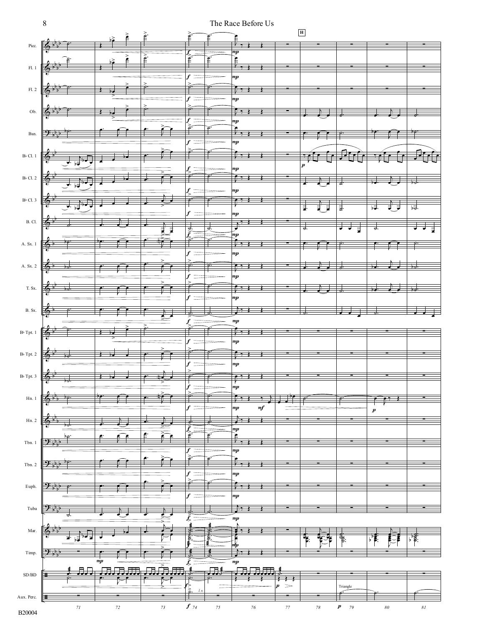

 $\,8\,$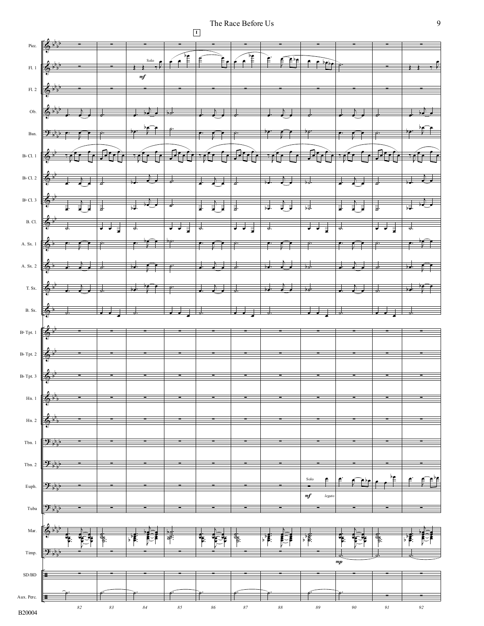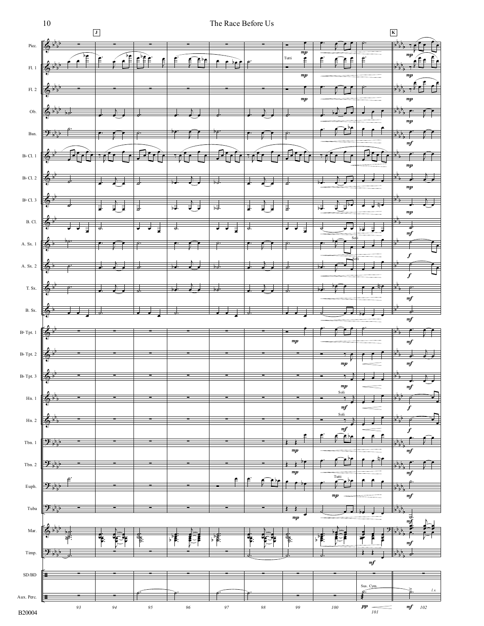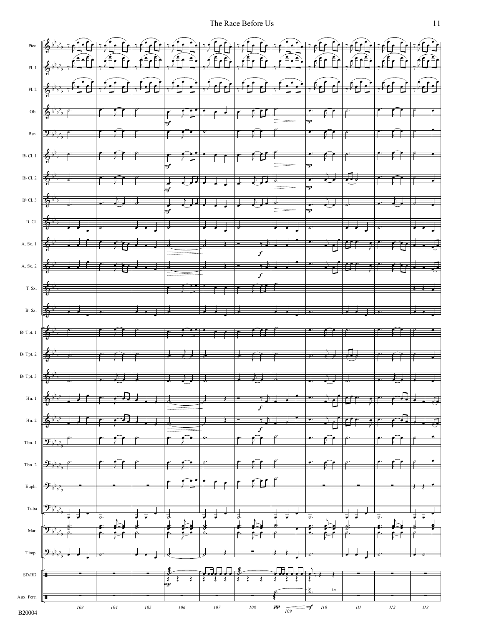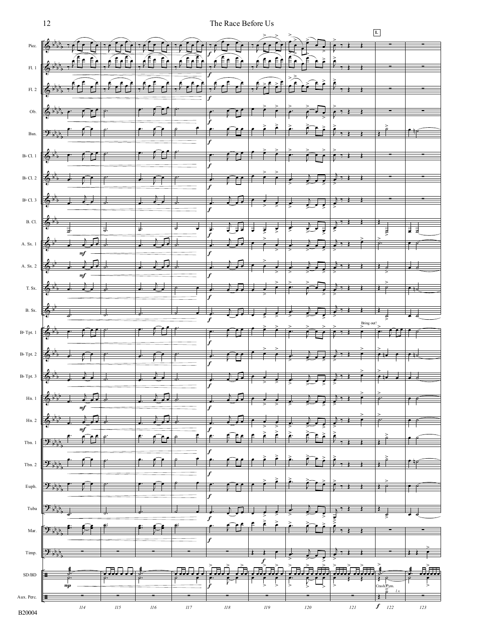

1 2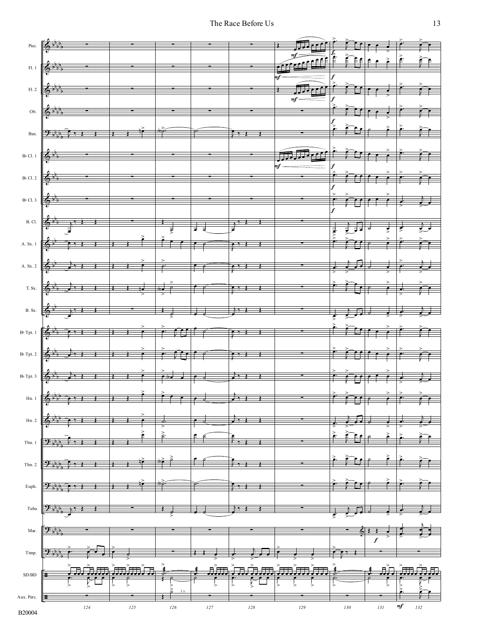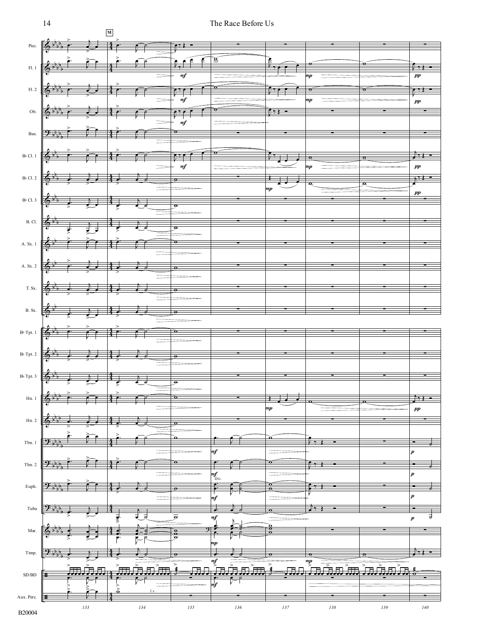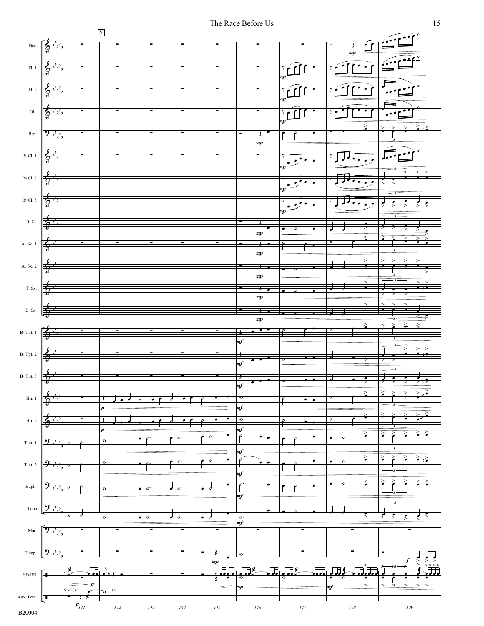

**B20004**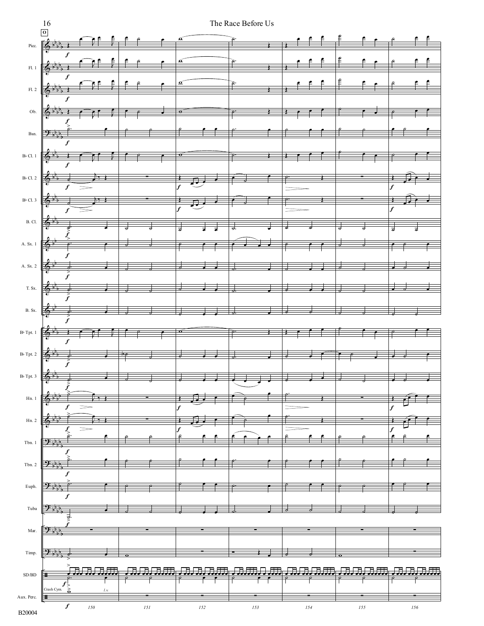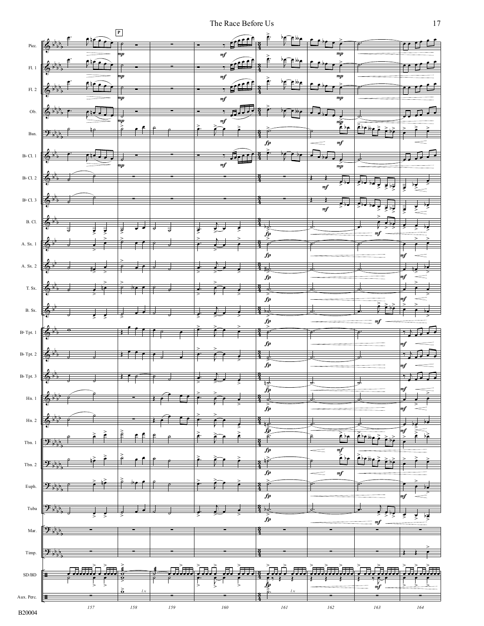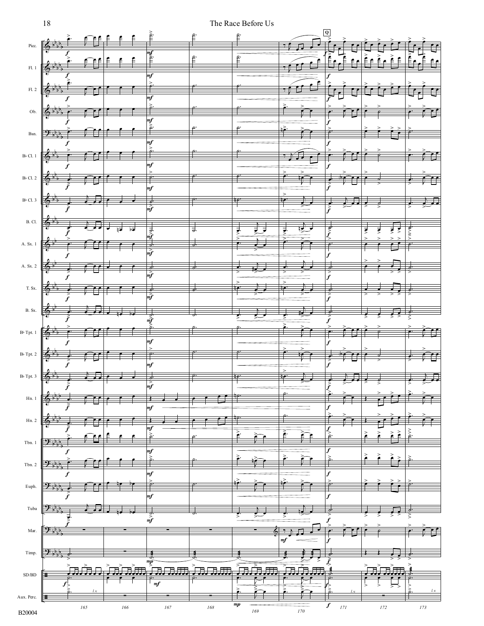18

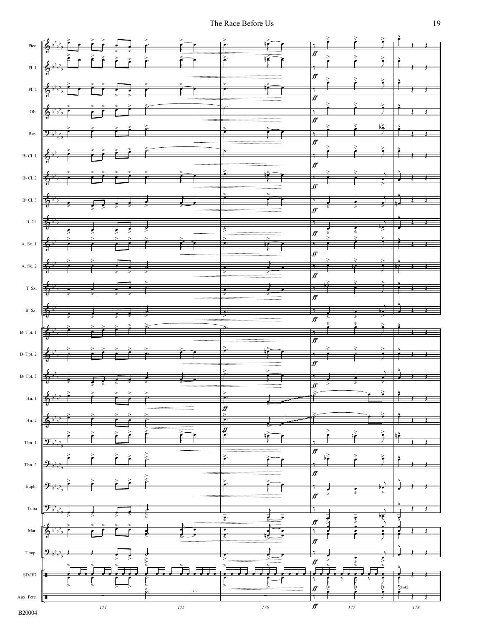| $\rm Picc.$ | $\begin{array}{c} \begin{array}{c} \begin{array}{c} \end{array} & \begin{array}{c} \end{array} & \begin{array}{c} \end{array} \\ \begin{array}{c} \end{array} \\ \begin{array}{c} \end{array} \\ \begin{array}{c} \end{array} \end{array} \end{array}$                                                                                                                                                            |         | $\Rightarrow$<br>$\frac{1}{\sqrt{2}}$ | $\overline{\cdot}$ |         |                    |                    |                                                                     |                                               |                                        |               |
|-------------|-------------------------------------------------------------------------------------------------------------------------------------------------------------------------------------------------------------------------------------------------------------------------------------------------------------------------------------------------------------------------------------------------------------------|---------|---------------------------------------|--------------------|---------|--------------------|--------------------|---------------------------------------------------------------------|-----------------------------------------------|----------------------------------------|---------------|
|             | FI. 1 $\frac{2}{5}$ $\frac{3}{5}$ $\frac{5}{5}$ $\frac{2}{5}$ $\frac{2}{5}$ $\frac{3}{5}$ $\frac{3}{5}$ $\frac{3}{5}$ $\frac{3}{5}$ $\frac{3}{5}$ $\frac{3}{5}$                                                                                                                                                                                                                                                   |         |                                       |                    |         |                    |                    |                                                                     |                                               |                                        |               |
|             |                                                                                                                                                                                                                                                                                                                                                                                                                   |         |                                       |                    |         |                    |                    | $f\hspace{-0.1cm}f$                                                 |                                               |                                        |               |
|             |                                                                                                                                                                                                                                                                                                                                                                                                                   |         |                                       |                    |         |                    |                    |                                                                     |                                               |                                        |               |
|             | $F1.2$ $\frac{1}{2}$ $\frac{1}{2}$ $\frac{1}{2}$ $\frac{1}{2}$ $\frac{1}{2}$ $\frac{1}{2}$ $\frac{1}{2}$ $\frac{1}{2}$ $\frac{1}{2}$ $\frac{1}{2}$ $\frac{1}{2}$ $\frac{1}{2}$                                                                                                                                                                                                                                    |         |                                       |                    |         |                    |                    |                                                                     |                                               |                                        |               |
|             | Ob. $\begin{array}{ c c c c c c c c } \hline \multicolumn{1}{ c }{3} & \multicolumn{1}{ c }{5} & \multicolumn{1}{ c }{5} & \multicolumn{1}{ c }{5} & \multicolumn{1}{ c }{5} & \multicolumn{1}{ c }{5} & \multicolumn{1}{ c }{5} & \multicolumn{1}{ c }{5} & \multicolumn{1}{ c }{5} & \multicolumn{1}{ c }{5} & \multicolumn{1}{ c }{5} & \multicolumn{1}{ c }{5} & \multicolumn{1}{ c }{5} & \multicolumn{1}{ $ |         |                                       |                    |         |                    |                    |                                                                     |                                               |                                        |               |
|             |                                                                                                                                                                                                                                                                                                                                                                                                                   |         |                                       |                    |         |                    |                    |                                                                     |                                               |                                        |               |
|             | Bsn. $\frac{1}{2}$ $\frac{1}{2}$ $\frac{1}{2}$ $\frac{1}{2}$ $\frac{1}{2}$ $\frac{1}{2}$ $\frac{1}{2}$ $\frac{1}{2}$ $\frac{1}{2}$ $\frac{1}{2}$ $\frac{1}{2}$ $\frac{1}{2}$ $\frac{1}{2}$ $\frac{1}{2}$ $\frac{1}{2}$ $\frac{1}{2}$ $\frac{1}{2}$ $\frac{1}{2}$ $\frac{1}{2}$ $\frac{1}{2}$ $\frac{1}{2}$ $\frac{1}{$                                                                                            |         |                                       |                    |         |                    |                    |                                                                     |                                               |                                        |               |
|             |                                                                                                                                                                                                                                                                                                                                                                                                                   |         |                                       |                    |         |                    |                    |                                                                     |                                               |                                        |               |
|             | $B_5C1$ $\frac{2}{5}$ $\frac{3}{5}$ $\frac{3}{5}$ $\frac{3}{5}$ $\frac{3}{5}$ $\frac{3}{5}$ $\frac{3}{5}$                                                                                                                                                                                                                                                                                                         |         |                                       |                    |         |                    |                    |                                                                     |                                               |                                        |               |
|             |                                                                                                                                                                                                                                                                                                                                                                                                                   |         |                                       |                    |         |                    |                    |                                                                     |                                               |                                        |               |
|             | $B_1 C1.2$                                                                                                                                                                                                                                                                                                                                                                                                        |         |                                       |                    |         |                    |                    | $\frac{1}{\sqrt{\frac{1}{f}}\sqrt{\frac{1}{f}}\sqrt{\frac{1}{f}}}}$ | $\begin{array}{c c c c c} \hline \end{array}$ |                                        |               |
|             |                                                                                                                                                                                                                                                                                                                                                                                                                   |         |                                       |                    |         |                    |                    |                                                                     |                                               |                                        |               |
|             | $B_1 C1.3$ $3 \frac{1}{2} \frac{1}{2}$ $4 \frac{1}{2} \frac{1}{2}$ $5 \frac{1}{2} \frac{1}{2}$ $5 \frac{1}{2} \frac{1}{2}$                                                                                                                                                                                                                                                                                        |         |                                       |                    |         |                    |                    |                                                                     |                                               |                                        |               |
|             |                                                                                                                                                                                                                                                                                                                                                                                                                   |         |                                       |                    |         |                    |                    | ķ                                                                   |                                               |                                        |               |
|             |                                                                                                                                                                                                                                                                                                                                                                                                                   |         |                                       |                    |         |                    |                    |                                                                     |                                               |                                        |               |
|             |                                                                                                                                                                                                                                                                                                                                                                                                                   |         |                                       |                    |         |                    |                    |                                                                     |                                               |                                        |               |
|             |                                                                                                                                                                                                                                                                                                                                                                                                                   |         |                                       |                    |         | $\overline{\cdot}$ | $\bar{\mathbb{F}}$ |                                                                     |                                               |                                        |               |
|             |                                                                                                                                                                                                                                                                                                                                                                                                                   |         |                                       |                    |         |                    |                    | ff                                                                  |                                               |                                        |               |
|             | A. Sx. 2 $\left  \begin{array}{ccc} \frac{1}{\sqrt{3}} & \frac{1}{\sqrt{3}} & \frac{1}{\sqrt{3}} \\ \frac{1}{\sqrt{3}} & \frac{1}{\sqrt{3}} & \frac{1}{\sqrt{3}} \\ \frac{1}{\sqrt{3}} & \frac{1}{\sqrt{3}} & \frac{1}{\sqrt{3}} \end{array} \right $                                                                                                                                                             |         |                                       |                    |         |                    |                    |                                                                     |                                               |                                        | $\frac{1}{2}$ |
|             |                                                                                                                                                                                                                                                                                                                                                                                                                   |         |                                       |                    |         |                    |                    |                                                                     |                                               |                                        |               |
|             | T. Sx. $\left \begin{array}{ccc} \frac{1}{\sqrt{3}} & \frac{1}{\sqrt{3}} & \frac{1}{\sqrt{3}} \\ \frac{1}{\sqrt{3}} & \frac{1}{\sqrt{3}} & \frac{1}{\sqrt{3}} \\ \frac{1}{\sqrt{3}} & \frac{1}{\sqrt{3}} & \frac{1}{\sqrt{3}} \end{array}\right  \left \begin{array}{c} \frac{1}{\sqrt{3}} \\ \frac{1}{\sqrt{3}} \\ \frac{1}{\sqrt{3}} \\ \frac{1}{\sqrt{3}} \end{array}\right $                                  |         |                                       |                    |         |                    |                    |                                                                     |                                               | ₹                                      |               |
|             |                                                                                                                                                                                                                                                                                                                                                                                                                   |         |                                       |                    |         |                    |                    |                                                                     |                                               |                                        |               |
|             |                                                                                                                                                                                                                                                                                                                                                                                                                   |         |                                       |                    |         |                    |                    |                                                                     |                                               |                                        |               |
|             |                                                                                                                                                                                                                                                                                                                                                                                                                   |         |                                       |                    |         |                    |                    |                                                                     |                                               |                                        |               |
|             |                                                                                                                                                                                                                                                                                                                                                                                                                   |         |                                       |                    |         |                    |                    |                                                                     |                                               |                                        |               |
|             | $B_3$ Tpt. 1 $\left[\frac{A}{2},\frac{b}{2},-\frac{b}{2},-\frac{b}{2},-\frac{b}{2},-\frac{b}{2},-\frac{c}{2}\right]$                                                                                                                                                                                                                                                                                              |         |                                       |                    |         |                    |                    |                                                                     |                                               |                                        |               |
|             |                                                                                                                                                                                                                                                                                                                                                                                                                   |         |                                       |                    |         |                    |                    |                                                                     |                                               |                                        |               |
|             | By Tpt. 2 $\left \left \left \left \left \left \left \left \right \right \right \right \right \right  \right  \leq \left \left \left \left \left \left \left \right \right \right \right \right  \right  \right $                                                                                                                                                                                                 |         |                                       |                    |         |                    |                    | $\frac{1}{\sqrt{2}}$                                                | $\triangleq$                                  | $\stackrel{\text{>}}{\longrightarrow}$ | 產             |
|             |                                                                                                                                                                                                                                                                                                                                                                                                                   |         |                                       |                    |         |                    |                    |                                                                     |                                               |                                        |               |
|             |                                                                                                                                                                                                                                                                                                                                                                                                                   |         |                                       |                    |         |                    |                    | $\overline{\cdot}$                                                  |                                               |                                        |               |
|             | $B_{3}$ Tpt. 3 $\frac{1}{2}$ $\frac{1}{2}$ $\frac{1}{2}$ $\frac{1}{2}$ $\frac{1}{2}$ $\frac{1}{2}$ $\frac{1}{2}$ $\frac{1}{2}$ $\frac{1}{2}$ $\frac{1}{2}$                                                                                                                                                                                                                                                        |         |                                       |                    |         |                    |                    |                                                                     | $\frac{1}{2}$                                 |                                        |               |
| Hn. 1       |                                                                                                                                                                                                                                                                                                                                                                                                                   |         |                                       |                    |         |                    |                    |                                                                     |                                               |                                        |               |
|             |                                                                                                                                                                                                                                                                                                                                                                                                                   |         |                                       |                    |         | ∬                  |                    |                                                                     |                                               |                                        |               |
| Hn. 2       |                                                                                                                                                                                                                                                                                                                                                                                                                   |         |                                       |                    |         |                    |                    |                                                                     |                                               |                                        |               |
|             |                                                                                                                                                                                                                                                                                                                                                                                                                   |         |                                       |                    |         | a<br>C             |                    |                                                                     | ≨ا                                            | ř                                      |               |
| Tbn. 1      |                                                                                                                                                                                                                                                                                                                                                                                                                   |         |                                       |                    |         |                    |                    | ℋ                                                                   |                                               |                                        |               |
| Tbn. 2      |                                                                                                                                                                                                                                                                                                                                                                                                                   |         |                                       | $\geq$             |         | ⋧                  |                    |                                                                     |                                               |                                        |               |
|             |                                                                                                                                                                                                                                                                                                                                                                                                                   |         |                                       |                    |         |                    |                    | ∯                                                                   |                                               |                                        |               |
| Euph.       |                                                                                                                                                                                                                                                                                                                                                                                                                   |         |                                       |                    |         |                    |                    |                                                                     |                                               |                                        |               |
|             |                                                                                                                                                                                                                                                                                                                                                                                                                   |         |                                       |                    |         |                    |                    | ff                                                                  |                                               |                                        |               |
| Tuba        |                                                                                                                                                                                                                                                                                                                                                                                                                   |         |                                       |                    |         |                    |                    |                                                                     |                                               |                                        |               |
|             |                                                                                                                                                                                                                                                                                                                                                                                                                   |         |                                       |                    |         |                    |                    |                                                                     |                                               | 븇                                      |               |
| Mar.        |                                                                                                                                                                                                                                                                                                                                                                                                                   |         |                                       |                    |         |                    |                    | ∬<br>٠                                                              |                                               |                                        |               |
|             |                                                                                                                                                                                                                                                                                                                                                                                                                   |         |                                       |                    |         |                    |                    | ∯                                                                   |                                               |                                        |               |
| Timp.       | <u>י י</u>                                                                                                                                                                                                                                                                                                                                                                                                        |         |                                       |                    |         |                    |                    |                                                                     |                                               |                                        |               |
|             |                                                                                                                                                                                                                                                                                                                                                                                                                   |         |                                       |                    |         |                    |                    | ff                                                                  |                                               |                                        |               |
| SD/BD       | Ħ                                                                                                                                                                                                                                                                                                                                                                                                                 |         |                                       |                    |         |                    |                    |                                                                     |                                               |                                        |               |
|             |                                                                                                                                                                                                                                                                                                                                                                                                                   |         |                                       | $\geq$             |         |                    |                    | ∬                                                                   |                                               |                                        | $\chi$ choke  |
| Aux. Perc.  | ⊞                                                                                                                                                                                                                                                                                                                                                                                                                 | $174\,$ |                                       |                    | $175\,$ |                    | $176\,$            | ۰<br>f f                                                            | $177\,$                                       |                                        | $178\,$       |